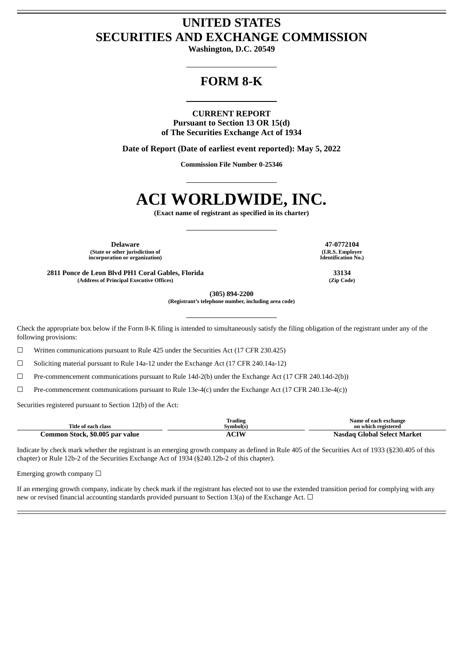## **UNITED STATES SECURITIES AND EXCHANGE COMMISSION**

**Washington, D.C. 20549**

## **FORM 8-K**

### **CURRENT REPORT**

**Pursuant to Section 13 OR 15(d) of The Securities Exchange Act of 1934**

**Date of Report (Date of earliest event reported): May 5, 2022**

**Commission File Number 0-25346**

# **ACI WORLDWIDE, INC.**

**(Exact name of registrant as specified in its charter)**

**Delaware 47-0772104 (State or other jurisdiction of incorporation or organization)**

**2811 Ponce de Leon Blvd PH1 Coral Gables, Florida 33134 (Address of Principal Executive Offices) (Zip Code)**

**(I.R.S. Employer Identification No.)**

**(305) 894-2200**

**(Registrant's telephone number, including area code)**

Check the appropriate box below if the Form 8-K filing is intended to simultaneously satisfy the filing obligation of the registrant under any of the following provisions:

☐ Written communications pursuant to Rule 425 under the Securities Act (17 CFR 230.425)

 $\Box$  Soliciting material pursuant to Rule 14a-12 under the Exchange Act (17 CFR 240.14a-12)

☐ Pre-commencement communications pursuant to Rule 14d-2(b) under the Exchange Act (17 CFR 240.14d-2(b))

 $\Box$  Pre-commencement communications pursuant to Rule 13e-4(c) under the Exchange Act (17 CFR 240.13e-4(c))

Securities registered pursuant to Section 12(b) of the Act:

| Title of each class             | Trading<br>Svmbol(s) | Name of each exchange<br>on which registered |
|---------------------------------|----------------------|----------------------------------------------|
| Common Stock, \$0.005 par value | <b>ACIW</b>          | Nasdag Global Select Market                  |

Indicate by check mark whether the registrant is an emerging growth company as defined in Rule 405 of the Securities Act of 1933 (§230.405 of this chapter) or Rule 12b-2 of the Securities Exchange Act of 1934 (§240.12b-2 of this chapter).

Emerging growth company  $\Box$ 

If an emerging growth company, indicate by check mark if the registrant has elected not to use the extended transition period for complying with any new or revised financial accounting standards provided pursuant to Section 13(a) of the Exchange Act.  $\Box$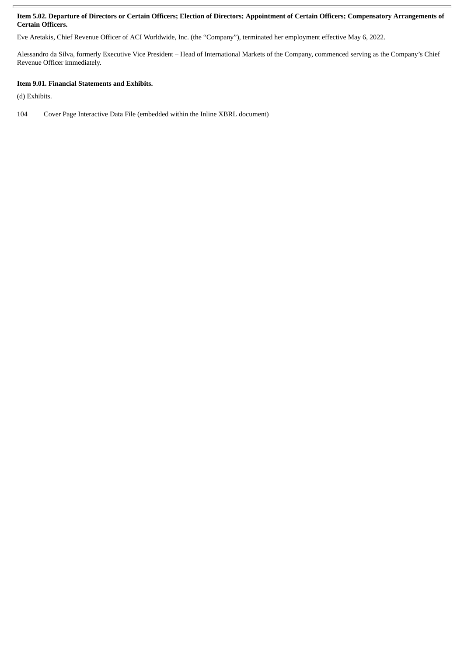### Item 5.02. Departure of Directors or Certain Officers; Election of Directors; Appointment of Certain Officers; Compensatory Arrangements of **Certain Officers.**

Eve Aretakis, Chief Revenue Officer of ACI Worldwide, Inc. (the "Company"), terminated her employment effective May 6, 2022.

Alessandro da Silva, formerly Executive Vice President – Head of International Markets of the Company, commenced serving as the Company's Chief Revenue Officer immediately.

### **Item 9.01. Financial Statements and Exhibits.**

(d) Exhibits.

104 Cover Page Interactive Data File (embedded within the Inline XBRL document)